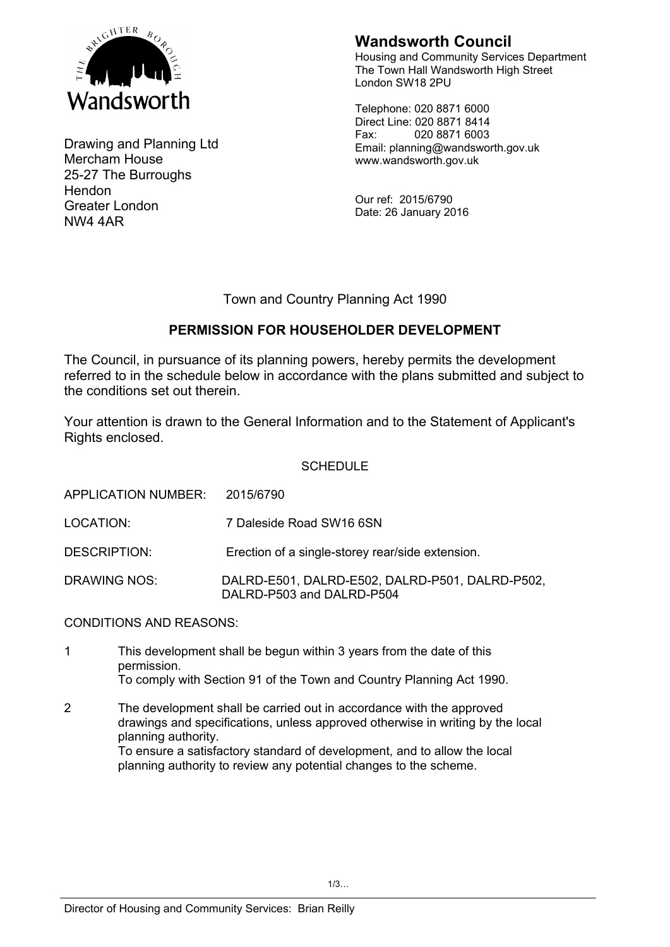

Drawing and Planning Ltd Mercham House 25-27 The Burroughs **Hendon** Greater London NW4 4AR

# **Wandsworth Council**

Housing and Community Services Department The Town Hall Wandsworth High Street London SW18 2PU

Telephone: 020 8871 6000 Direct Line: 020 8871 8414 Fax: 020 8871 6003 Email: planning@wandsworth.gov.uk www.wandsworth.gov.uk

Our ref: 2015/6790 Date: 26 January 2016

## Town and Country Planning Act 1990

## **PERMISSION FOR HOUSEHOLDER DEVELOPMENT**

The Council, in pursuance of its planning powers, hereby permits the development referred to in the schedule below in accordance with the plans submitted and subject to the conditions set out therein.

Your attention is drawn to the General Information and to the Statement of Applicant's Rights enclosed.

### SCHEDULE

| APPLICATION NUMBER: | 2015/6790                                                                    |
|---------------------|------------------------------------------------------------------------------|
| LOCATION:           | 7 Daleside Road SW16 6SN                                                     |
| DESCRIPTION:        | Erection of a single-storey rear/side extension.                             |
| DRAWING NOS:        | DALRD-E501, DALRD-E502, DALRD-P501, DALRD-P502,<br>DALRD-P503 and DALRD-P504 |

CONDITIONS AND REASONS:

- 1 This development shall be begun within 3 years from the date of this permission. To comply with Section 91 of the Town and Country Planning Act 1990.
- 2 The development shall be carried out in accordance with the approved drawings and specifications, unless approved otherwise in writing by the local planning authority. To ensure a satisfactory standard of development, and to allow the local planning authority to review any potential changes to the scheme.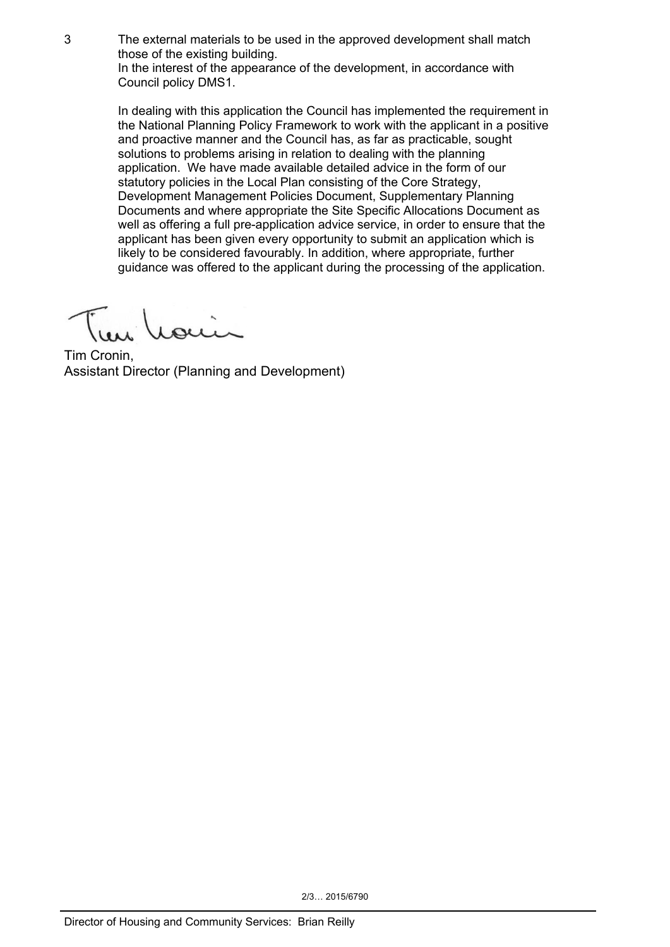3 The external materials to be used in the approved development shall match those of the existing building.

In the interest of the appearance of the development, in accordance with Council policy DMS1.

In dealing with this application the Council has implemented the requirement in the National Planning Policy Framework to work with the applicant in a positive and proactive manner and the Council has, as far as practicable, sought solutions to problems arising in relation to dealing with the planning application. We have made available detailed advice in the form of our statutory policies in the Local Plan consisting of the Core Strategy, Development Management Policies Document, Supplementary Planning Documents and where appropriate the Site Specific Allocations Document as well as offering a full pre-application advice service, in order to ensure that the applicant has been given every opportunity to submit an application which is likely to be considered favourably. In addition, where appropriate, further guidance was offered to the applicant during the processing of the application.

Tim Cronin, Assistant Director (Planning and Development)